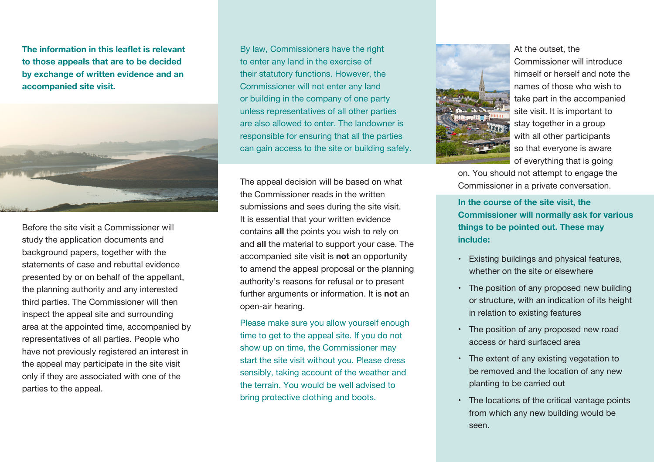**The information in this leaflet is relevant to those appeals that are to be decided by exchange of written evidence and an accompanied site visit.**



Before the site visit a Commissioner will study the application documents and background papers, together with the statements of case and rebuttal evidence presented by or on behalf of the appellant, the planning authority and any interested third parties. The Commissioner will then inspect the appeal site and surrounding area at the appointed time, accompanied by representatives of all parties. People who have not previously registered an interest in the appeal may participate in the site visit only if they are associated with one of the parties to the appeal.

By law, Commissioners have the right to enter any land in the exercise of their statutory functions. However, the Commissioner will not enter any land or building in the company of one party unless representatives of all other parties are also allowed to enter. The landowner is responsible for ensuring that all the parties can gain access to the site or building safely.

The appeal decision will be based on what the Commissioner reads in the written submissions and sees during the site visit. It is essential that your written evidence contains **all** the points you wish to rely on and **all** the material to support your case. The accompanied site visit is **not** an opportunity to amend the appeal proposal or the planning authority's reasons for refusal or to present further arguments or information. It is **not** an open-air hearing.

Please make sure you allow yourself enough time to get to the appeal site. If you do not show up on time, the Commissioner may start the site visit without you. Please dress sensibly, taking account of the weather and the terrain. You would be well advised to bring protective clothing and boots.



At the outset, the Commissioner will introduce himself or herself and note the names of those who wish to take part in the accompanied site visit. It is important to stay together in a group with all other participants so that everyone is aware of everything that is going

on. You should not attempt to engage the Commissioner in a private conversation.

**In the course of the site visit, the Commissioner will normally ask for various things to be pointed out. These may include:**

- Existing buildings and physical features, whether on the site or elsewhere
- The position of any proposed new building or structure, with an indication of its height in relation to existing features
- The position of any proposed new road access or hard surfaced area
- The extent of any existing vegetation to be removed and the location of any new planting to be carried out
- The locations of the critical vantage points from which any new building would be seen.